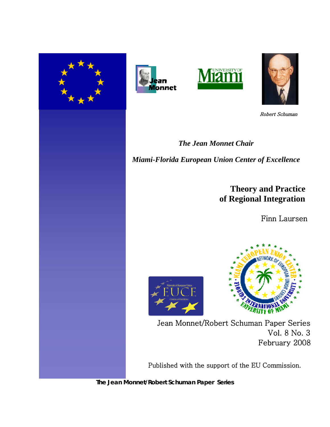







Robert Schuman

*The Jean Monnet Chair Miami-Florida European Union Center of Excellence*

> **Theory and Practice of Regional Integration**

> > Finn Laursen





Jean Monnet/Robert Schuman Paper Series Vol. 8 No. 3 February 2008

Published with the support of the EU Commission.

**The Jean Monnet/Robert Schuman Paper Series**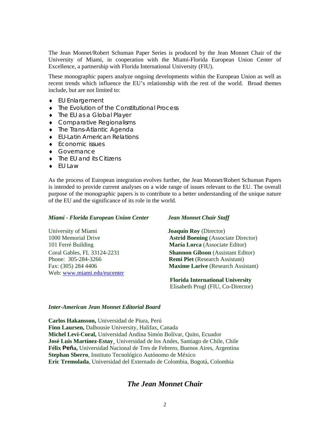The Jean Monnet/Robert Schuman Paper Series is produced by the Jean Monnet Chair of the University of Miami, in cooperation with the Miami-Florida European Union Center of Excellence, a partnership with Florida International University (FIU).

These monographic papers analyze ongoing developments within the European Union as well as recent trends which influence the EU's relationship with the rest of the world. Broad themes include, but are not limited to:

- ♦ EU Enlargement
- ♦ The Evolution of the Constitutional Process
- ♦ The EU as a Global Player
- ♦ Comparative Regionalisms
- ♦ The Trans-Atlantic Agenda
- ♦ EU-Latin American Relations
- ♦ Economic issues
- ♦ Governance
- ♦ The EU and its Citizens
- ♦ EU Law

As the process of European integration evolves further, the Jean Monnet/Robert Schuman Papers is intended to provide current analyses on a wide range of issues relevant to the EU. The overall purpose of the monographic papers is to contribute to a better understanding of the unique nature of the EU and the significance of its role in the world.

#### *Miami - Florida European Union Center Jean Monnet Chair Staff*

University of Miami **Joaquín Roy** (Director) 101 Ferré Building **María Lorca** (Associate Editor) Phone: 305-284-3266 **Remi Piet** (Research Assistant) Web: [www.miami.edu/eucenter](http://www.miami.edu/eucenter)

1000 Memorial Drive **Astrid Boening** (Associate Director) Coral Gables, FL 33124-2231 **Shannon Gibson** (Assistant Editor) Fax: (305) 284 4406 **Maxime Larive** (Research Assistant)

> **Florida International University** Elisabeth Prugl (FIU, Co-Director)

#### *Inter-American Jean Monnet Editorial Board*

**Carlos Hakansson,** Universidad de Piura, Perú **Finn Laursen,** Dalhousie University, Halifax, Canada **Michel Levi-Coral,** Universidad Andina Simón Bolívar, Quito, Ecuador **José Luis Martínez-Estay¸** Universidad de los Andes, Santiago de Chile, Chile **Félix Peña,** Universidad Nacional de Tres de Febrero, Buenos Aires, Argentina **Stephan Sberro**, Instituto Tecnológico Autónomo de México **Eric Tremolada**, Universidad del Externado de Colombia, Bogotá, Colombia

# *The Jean Monnet Chair*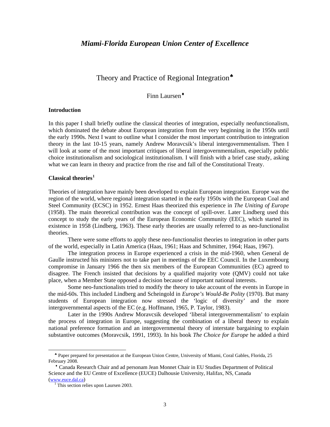## *Miami-Florida European Union Center of Excellence*

# Theory and Practice of Regional Integration<sup>\*</sup>

Finn Laursen[♦](#page-2-1)

### **Introduction**

In this paper I shall briefly outline the classical theories of integration, especially neofunctionalism, which dominated the debate about European integration from the very beginning in the 1950s until the early 1990s. Next I want to outline what I consider the most important contribution to integration theory in the last 10-15 years, namely Andrew Moravcsik's liberal intergovernmentalism. Then I will look at some of the most important critiques of liberal intergovernmentalism, especially public choice institutionalism and sociological institutionalism. I will finish with a brief case study, asking what we can learn in theory and practice from the rise and fall of the Constitutional Treaty.

#### **Classical theories[1](#page-2-2)**

Theories of integration have mainly been developed to explain European integration. Europe was the region of the world, where regional integration started in the early 1950s with the European Coal and Steel Community (ECSC) in 1952. Ernest Haas theorized this experience in *The Uniting of Europe* (1958). The main theoretical contribution was the concept of spill-over. Later Lindberg used this concept to study the early years of the European Economic Community (EEC), which started its existence in 1958 (Lindberg, 1963). These early theories are usually referred to as neo-functionalist theories.

 There were some efforts to apply these neo-functionalist theories to integration in other parts of the world, especially in Latin America (Haas, 1961; Haas and Schmitter, 1964; Haas, 1967).

 The integration process in Europe experienced a crisis in the mid-1960, when General de Gaulle instructed his ministers not to take part in meetings of the EEC Council. In the Luxembourg compromise in January 1966 the then six members of the European Communities (EC) agreed to disagree. The French insisted that decisions by a qualified majority vote (QMV) could not take place, when a Member State opposed a decision because of important national interests.

 Some neo-functionalists tried to modify the theory to take account of the events in Europe in the mid-60s. This included Lindberg and Scheingold in *Europe's Would-Be Polity* (1970). But many students of European integration now stressed the 'logic of diversity' and the more intergovernmental aspects of the EC (e.g. Hoffmann, 1965, P. Taylor, 1983).

 Later in the 1990s Andrew Moravcsik developed 'liberal intergovernmentalism' to explain the process of integration in Europe, suggesting the combination of a liberal theory to explain national preference formation and an intergovernmental theory of interstate bargaining to explain substantive outcomes (Moravcsik, 1991, 1993). In his book *The Choice for Europe* he added a third

 $\overline{a}$ 

<span id="page-2-0"></span>♣ Paper prepared for presentation at the European Union Centre, University of Miami, Coral Gables, Florida, 25 February 2008.

<span id="page-2-1"></span>♦ Canada Research Chair and ad personam Jean Monnet Chair in EU Studies Department of Political Science and the EU Centre of Excellence (EUCE) Dalhousie University, Halifax, NS, Canada [\(www.euce.dal.ca](http://www.euce.dal.ca/))

<span id="page-2-2"></span><sup>&</sup>lt;sup>1</sup> This section relies upon Laursen 2003.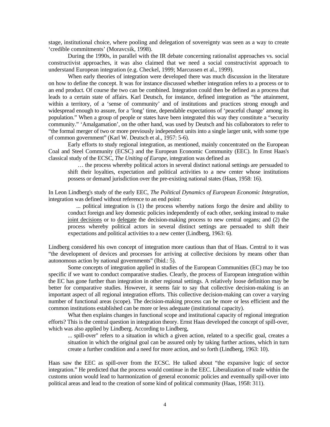stage, institutional choice, where pooling and delegation of sovereignty was seen as a way to create 'credible commitments' (Moravcsik, 1998).

 During the 1990s, in parallel with the IR debate concerning rationalist approaches vs. social constructivist approaches, it was also claimed that we need a social constructivist approach to understand European integration (e.g. Checkel, 1999; Marcussen et al., 1999).

 When early theories of integration were developed there was much discussion in the literature on how to define the concept. It was for instance discussed whether integration refers to a process or to an end product. Of course the two can be combined. Integration could then be defined as a process that leads to a certain state of affairs. Karl Deutsch, for instance, defined integration as "the attainment, within a territory, of a 'sense of community' and of institutions and practices strong enough and widespread enough to assure, for a 'long' time, dependable expectations of 'peaceful change' among its population." When a group of people or states have been integrated this way they constitute a "security community." 'Amalgamation', on the other hand, was used by Deutsch and his collaborators to refer to "the formal merger of two or more previously independent units into a single larger unit, with some type of common government" (Karl W. Deutsch et al., 1957: 5-6).

 Early efforts to study regional integration, as mentioned, mainly concentrated on the European Coal and Steel Community (ECSC) and the European Economic Community (EEC). In Ernst Haas's classical study of the ECSC, *The Uniting of Europe*, integration was defined as

 … the process whereby political actors in several distinct national settings are persuaded to shift their loyalties, expectation and political activities to a new center whose institutions possess or demand jurisdiction over the pre-existing national states (Haas, 1958: 16).

In Leon Lindberg's study of the early EEC, *The Political Dynamics of European Economic Integration*, integration was defined without reference to an end point:

 ... political integration is (1) the process whereby nations forgo the desire and ability to conduct foreign and key domestic policies independently of each other, seeking instead to make joint decisions or to delegate the decision-making process to new central organs; and (2) the process whereby political actors in several distinct settings are persuaded to shift their expectations and political activities to a new center (Lindberg, 1963: 6).

Lindberg considered his own concept of integration more cautious than that of Haas. Central to it was "the development of devices and processes for arriving at collective decisions by means other than autonomous action by national governments" (Ibid.: 5).

 Some concepts of integration applied in studies of the European Communities (EC) may be too specific if we want to conduct comparative studies. Clearly, the process of European integration within the EC has gone further than integration in other regional settings. A relatively loose definition may be better for comparative studies. However, it seems fair to say that collective decision-making is an important aspect of all regional integration efforts. This collective decision-making can cover a varying number of functional areas (scope). The decision-making process can be more or less efficient and the common institutions established can be more or less adequate (institutional capacity).

 What then explains changes in functional scope and institutional capacity of regional integration efforts? This is the central question in integration theory. Ernst Haas developed the concept of spill-over, which was also applied by Lindberg. According to Lindberg,

 ... spill-over" refers to a situation in which a given action, related to a specific goal, creates a situation in which the original goal can be assured only by taking further actions, which in turn create a further condition and a need for more action, and so forth (Lindberg, 1963: 10).

Haas saw the EEC as spill-over from the ECSC. He talked about "the expansive logic of sector integration." He predicted that the process would continue in the EEC. Liberalization of trade within the customs union would lead to harmonization of general economic policies and eventually spill-over into political areas and lead to the creation of some kind of political community (Haas, 1958: 311).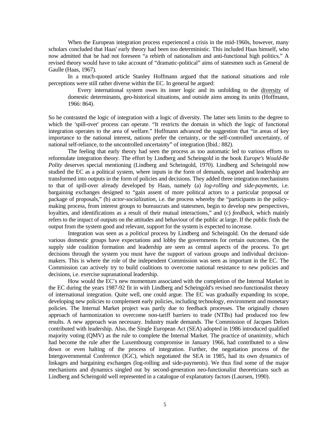When the European integration process experienced a crisis in the mid-1960s, however, many scholars concluded that Haas' early theory had been too deterministic. This included Haas himself, who now admitted that he had not foreseen "a rebirth of nationalism and anti-functional high politics." A revised theory would have to take account of "dramatic-political" aims of statesmen such as General de Gaulle (Haas, 1967).

 In a much-quoted article Stanley Hoffmann argued that the national situations and role perceptions were still rather diverse within the EC. In general he argued:

 Every international system owes its inner logic and its unfolding to the diversity of domestic determinants, geo-historical situations, and outside aims among its units (Hoffmann, 1966: 864).

So he contrasted the logic of integration with a logic of diversity. The latter sets limits to the degree to which the 'spill-over' process can operate. "It restricts the domain in which the logic of functional integration operates to the area of welfare." Hoffmann advanced the suggestion that "in areas of key importance to the national interest, nations prefer the certainty, or the self-controlled uncertainty, of national self-reliance, to the uncontrolled uncertainty" of integration (Ibid.: 882).

 The feeling that early theory had seen the process as too automatic led to various efforts to reformulate integration theory. The effort by Lindberg and Scheingold in the book *Europe's Would-Be Polity* deserves special mentioning (Lindberg and Scheingold, 1970). Lindberg and Scheingold now studied the EC as a political system, where inputs in the form of demands, support and leadership are transformed into outputs in the form of policies and decisions. They added three integration mechanisms to that of spill-over already developed by Haas, namely (a) *log-rolling and side-payments*, i.e. bargaining exchanges designed to "gain assent of more political actors to a particular proposal or package of proposals," (b) *actor*-*socialization*, i.e. the process whereby the "participants in the policymaking process, from interest groups to bureaucrats and statesmen, begin to develop new perspectives, loyalties, and identifications as a result of their mutual interactions," and (c) *feedback*, which mainly refers to the impact of outputs on the attitudes and behaviour of the public at large. If the public finds the output from the system good and relevant, support for the system is expected to increase.

 Integration was seen as a *political* process by Lindberg and Scheingold. On the demand side various domestic groups have expectations and lobby the governments for certain outcomes. On the supply side coalition formation and leadership are seen as central aspects of the process. To get decisions through the system you must have the support of various groups and individual decisionmakers. This is where the role of the independent Commission was seen as important in the EC. The Commission can actively try to build coalitions to overcome national resistance to new policies and decisions, i.e. exercise supranational leadership.

 How would the EC's new momentum associated with the completion of the Internal Market in the EC during the years 1987-92 fit in with Lindberg and Scheingold's revised neo-functionalist theory of international integration. Quite well, one could argue. The EC was gradually expanding its scope, developing new policies to complement early policies, including technology, environment and monetary policies. The Internal Market project was partly due to feedback processes. The originally chosen approach of harmonization to overcome non-tariff barriers to trade (NTBs) had produced too few results. A new approach was necessary. Industry made demands. The Commission of Jacques Delors contributed with leadership. Also, the Single European Act (SEA) adopted in 1986 introduced qualified majority voting (QMV) as the rule to complete the Internal Market. The practice of unanimity, which had become the rule after the Luxembourg compromise in January 1966, had contributed to a slow down or even halting of the process of integration. Further, the negotiation process of the Intergovernmental Conference (IGC), which negotiated the SEA in 1985, had its own dynamics of linkages and bargaining exchanges (log-rolling and side-payments). We thus find some of the major mechanisms and dynamics singled out by second-generation neo-functionalist theoreticians such as Lindberg and Scheingold well represented in a catalogue of explanatory factors (Laursen, 1990).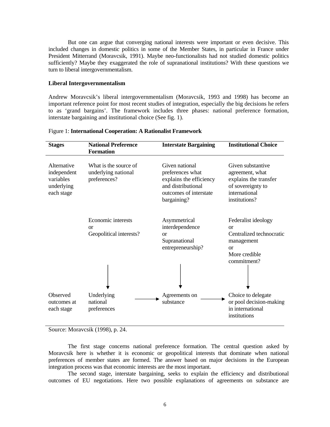But one can argue that converging national interests were important or even decisive. This included changes in domestic politics in some of the Member States, in particular in France under President Mitterrand (Moravcsik, 1991). Maybe neo-functionalists had not studied domestic politics sufficiently? Maybe they exaggerated the role of supranational institutions? With these questions we turn to liberal intergovernmentalism.

#### **Liberal Intergovernmentalism**

Andrew Moravcsik's liberal intergovernmentalism (Moravcsik, 1993 and 1998) has become an important reference point for most recent studies of integration, especially the big decisions he refers to as 'grand bargains'. The framework includes three phases: national preference formation, interstate bargaining and institutional choice (See fig. 1).

| <b>Stages</b>                                                       | <b>National Preference</b><br><b>Formation</b>               | <b>Interstate Bargaining</b>                                                                                                 | <b>Institutional Choice</b>                                                                                                 |
|---------------------------------------------------------------------|--------------------------------------------------------------|------------------------------------------------------------------------------------------------------------------------------|-----------------------------------------------------------------------------------------------------------------------------|
| Alternative<br>independent<br>variables<br>underlying<br>each stage | What is the source of<br>underlying national<br>preferences? | Given national<br>preferences what<br>explains the efficiency<br>and distributional<br>outcomes of interstate<br>bargaining? | Given substantive<br>agreement, what<br>explains the transfer<br>of sovereignty to<br>international<br>institutions?        |
|                                                                     | Economic interests<br>or<br>Geopolitical interests?          | Asymmetrical<br>interdependence<br>or<br>Supranational<br>entrepreneurship?                                                  | Federalist ideology<br><sub>or</sub><br>Centralized technocratic<br>management<br><b>or</b><br>More credible<br>commitment? |
| Observed<br>outcomes at<br>each stage                               | Underlying<br>national<br>preferences                        | Agreements on<br>substance                                                                                                   | Choice to delegate<br>or pool decision-making<br>in international<br>institutions                                           |

### Figure 1: **International Cooperation: A Rationalist Framework**

Source: Moravcsik (1998), p. 24.

The first stage concerns national preference formation. The central question asked by Moravcsik here is whether it is economic or geopolitical interests that dominate when national preferences of member states are formed. The answer based on major decisions in the European integration process was that economic interests are the most important.

The second stage, interstate bargaining, seeks to explain the efficiency and distributional outcomes of EU negotiations. Here two possible explanations of agreements on substance are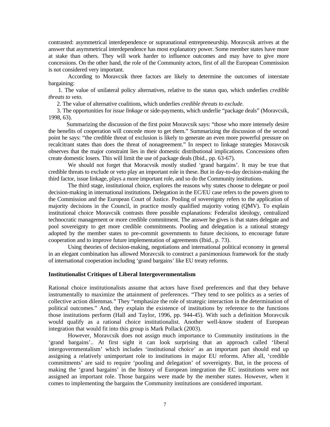contrasted: asymmetrical interdependence or supranational entrepreneurship. Moravcsik arrives at the answer that asymmetrical interdependence has most explanatory power. Some member states have more at stake than others. They will work harder to influence outcomes and may have to give more concessions. On the other hand, the role of the Community actors, first of all the European Commission is not considered very important.

According to Moravcsik three factors are likely to determine the outcomes of interstate bargaining:

 1. The value of unilateral policy alternatives, relative to the status quo, which underlies *credible threats to veto.* 

2. The value of alternative coalitions, which underlies *credible threats to exclude*.

 3. The opportunities for *issue linkage* or side-payments, which underlie "package deals" (Moravcsik, 1998, 63).

 Summarizing the discussion of the first point Moravcsik says: "those who more intensely desire the benefits of cooperation will concede more to get them." Summarizing the discussion of the second point he says: "the credible threat of exclusion is likely to generate an even more powerful pressure on recalcitrant states than does the threat of nonagreement." In respect to linkage strategies Moravcsik observes that the major constraint lies in their domestic distributional implications. Concessions often create domestic losers. This will limit the use of package deals (Ibid., pp. 63-67).

We should not forget that Moracvsik mostly studied 'grand bargains'. It may be true that credible threats to exclude or veto play an important role in these. But in day-to-day decision-making the third factor, issue linkage, plays a more important role, and so do the Community institutions.

The third stage, institutional choice, explores the reasons why states choose to delegate or pool decision-making in international institutions. Delegation in the EC/EU case refers to the powers given to the Commission and the European Court of Justice. Pooling of sovereignty refers to the application of majority decisions in the Council, in practice mostly qualified majority voting (QMV). To explain institutional choice Moravcsik contrasts three possible explanations: Federalist ideology, centralized technocratic management or more credible commitment. The answer he gives is that states delegate and pool sovereignty to get more credible commitments. Pooling and delegation is a rational strategy adopted by the member states to pre-commit governments to future decisions, to encourage future cooperation and to improve future implementation of agreements (Ibid., p. 73).

Using theories of decision-making, negotiations and international political economy in general in an elegant combination has allowed Moravcsik to construct a parsimonious framework for the study of international cooperation including 'grand bargains' like EU treaty reforms.

#### **Institutionalist Critiques of Liberal Intergovernmentalism**

Rational choice institutionalists assume that actors have fixed preferences and that they behave instrumentally to maximize the attainment of preferences. "They tend to see politics as a series of collective action dilemmas." They "emphasize the role of strategic interaction in the determination of political outcomes." And, they explain the existence of institutions by reference to the functions those institutions perform (Hall and Taylor, 1996, pp. 944-45). With such a definition Moravcsik would qualify as a rational choice institutionalist. Another well-know student of European integration that would fit into this group is Mark Pollack (2003).

However, Moravcsik does not assign much importance to Community institutions in the 'grand bargains'.. At first sight it can look surprising that an approach called 'liberal intergovernmentalism' which includes 'institutional choice' as an important part should end up assigning a relatively unimportant role to institutions in major EU reforms. After all, 'credible commitments' are said to require 'pooling and delegation' of sovereignty. But, in the process of making the 'grand bargains' in the history of European integration the EC institutions were not assigned an important role. Those bargains were made by the member states. However, when it comes to implementing the bargains the Community institutions are considered important.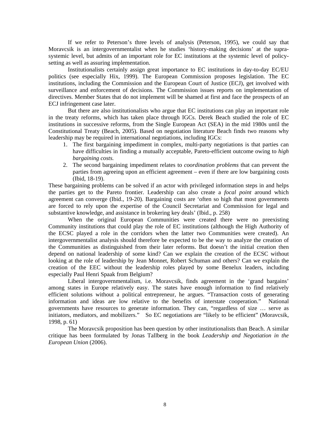If we refer to Peterson's three levels of analysis (Peterson, 1995), we could say that Moravcsik is an intergovernmentalist when he studies 'history-making decisions' at the suprasystemic level, but admits of an important role for EC institutions at the systemic level of policysetting as well as assuring implementation.

 Institutionalists certainly assign great importance to EC institutions in day-to-day EC/EU politics (see especially Hix, 1999). The European Commission proposes legislation. The EC institutions, including the Commission and the European Court of Justice (ECJ), get involved with surveillance and enforcement of decisions. The Commission issues reports on implementation of directives. Member States that do not implement will be shamed at first and face the prospects of an ECJ infringement case later.

 But there are also institutionalists who argue that EC institutions can play an important role in the treaty reforms, which has taken place through IGCs. Derek Beach studied the role of EC institutions in successive reforms, from the Single European Act (SEA) in the mid 1980s until the Constitutional Treaty (Beach, 2005). Based on negotiation literature Beach finds two reasons why leadership may be required in international negotiations, including IGCs:

- 1. The first bargaining impediment in complex, multi-party negotiations is that parties can have difficulties in finding a mutually acceptable, Pareto-efficient outcome owing to *high bargaining costs.*
- 2. The second bargaining impediment relates to *coordination problems* that can prevent the parties from agreeing upon an efficient agreement – even if there are low bargaining costs (Ibid, 18-19).

These bargaining problems can be solved if an actor with privileged information steps in and helps the parties get to the Pareto frontier. Leadership can also create a *focal point* around which agreement can converge (Ibid., 19-20). Bargaining costs are 'often so high that most governments are forced to rely upon the expertise of the Council Secretariat and Commission for legal and substantive knowledge, and assistance in brokering key deals' (Ibid., p. 258)

 When the original European Communities were created there were no preexisting Community institutions that could play the role of EC institutions (although the High Authority of the ECSC played a role in the corridors when the latter two Communities were created). An intergovernmentalist analysis should therefore be expected to be the way to analyze the creation of the Communities as distinguished from their later reforms. But doesn't the initial creation then depend on national leadership of some kind? Can we explain the creation of the ECSC without looking at the role of leadership by Jean Monnet, Robert Schuman and others? Can we explain the creation of the EEC without the leadership roles played by some Benelux leaders, including especially Paul Henri Spaak from Belgium?

 Liberal intergovernmentalism, i.e. Moravcsik, finds agreement in the 'grand bargains' among states in Europe relatively easy. The states have enough information to find relatively efficient solutions without a political entrepreneur, he argues. "Transaction costs of generating information and ideas are low relative to the benefits of interstate cooperation." National governments have resources to generate information. They can, "regardless of size … serve as initiators, mediators, and mobilizers." So EC negotiations are "likely to be efficient" (Moravcsik, 1998, p. 61)

 The Moravcsik proposition has been question by other institutionalists than Beach. A similar critique has been formulated by Jonas Tallberg in the book *Leadership and Negotiation in the European Union* (2006).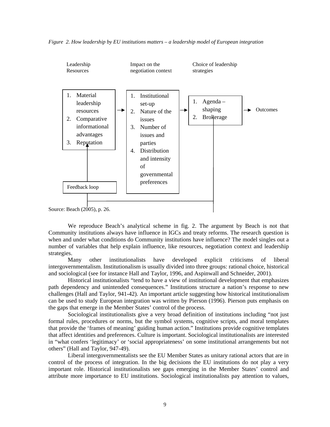

 We reproduce Beach's analytical scheme in fig. 2. The argument by Beach is not that Community institutions always have influence in IGCs and treaty reforms. The research question is when and under what conditions do Community institutions have influence? The model singles out a number of variables that help explain influence, like resources, negotiation context and leadership strategies.

 Many other institutionalists have developed explicit criticisms of liberal intergovernmentalism. Institutionalism is usually divided into three groups: rational choice, historical and sociological (see for instance Hall and Taylor, 1996, and Aspinwall and Schneider, 2001).

 Historical institutionalists "tend to have a view of institutional development that emphasizes path dependency and unintended consequences." Institutions structure a nation's response to new challenges (Hall and Taylor, 941-42). An important article suggesting how historical institutionalism can be used to study European integration was written by Pierson (1996). Pierson puts emphasis on the gaps that emerge in the Member States' control of the process.

 Sociological institutionalists give a very broad definition of institutions including "not just formal rules, procedures or norms, but the symbol systems, cognitive scripts, and moral templates that provide the 'frames of meaning' guiding human action." Institutions provide cognitive templates that affect identities and preferences. Culture is important. Sociological institutionalists are interested in "what confers 'legitimacy' or 'social appropriateness' on some institutional arrangements but not others" (Hall and Taylor, 947-49).

 Liberal intergovernmentalists see the EU Member States as unitary rational actors that are in control of the process of integration. In the big decisions the EU institutions do not play a very important role. Historical institutionalists see gaps emerging in the Member States' control and attribute more importance to EU institutions. Sociological institutionalists pay attention to values,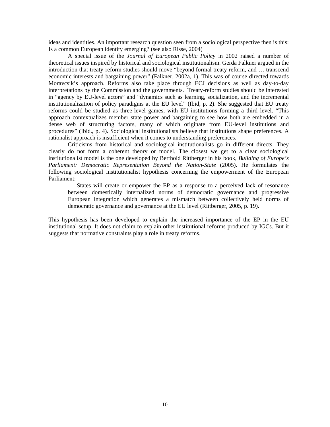ideas and identities. An important research question seen from a sociological perspective then is this: Is a common European identity emerging? (see also Risse, 2004)

A special issue of the *Journal of European Public Policy* in 2002 raised a number of theoretical issues inspired by historical and sociological institutionalism. Gerda Falkner argued in the introduction that treaty-reform studies should move "beyond formal treaty reform, and … transcend economic interests and bargaining power" (Falkner, 2002a, 1). This was of course directed towards Moravcsik's approach. Reforms also take place through ECJ decisions as well as day-to-day interpretations by the Commission and the governments. Treaty-reform studies should be interested in "agency by EU-level actors" and "dynamics such as learning, socialization, and the incremental institutionalization of policy paradigms at the EU level" (Ibid, p. 2). She suggested that EU treaty reforms could be studied as three-level games, with EU institutions forming a third level. "This approach contextualizes member state power and bargaining to see how both are embedded in a dense web of structuring factors, many of which originate from EU-level institutions and procedures" (Ibid., p. 4). Sociological institutionalists believe that institutions shape preferences. A rationalist approach is insufficient when it comes to understanding preferences.

Criticisms from historical and sociological institutionalists go in different directs. They clearly do not form a coherent theory or model. The closest we get to a clear sociological institutionalist model is the one developed by Berthold Rittberger in his book, *Building of Europe's Parliament: Democratic Representation Beyond the Nation-State* (2005). He formulates the following sociological institutionalist hypothesis concerning the empowerment of the European Parliament:

 States will create or empower the EP as a response to a perceived lack of resonance between domestically internalized norms of democratic governance and progressive European integration which generates a mismatch between collectively held norms of democratic governance and governance at the EU level (Rittberger, 2005, p. 19).

This hypothesis has been developed to explain the increased importance of the EP in the EU institutional setup. It does not claim to explain other institutional reforms produced by IGCs. But it suggests that normative constraints play a role in treaty reforms.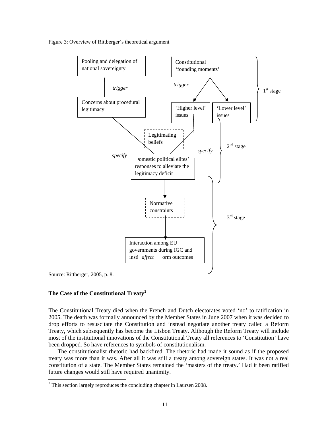Figure 3: Overview of Rittberger's theoretical argument



 $\overline{a}$ 

# **The Case of the Constitutional Treaty[2](#page-10-0)**

The Constitutional Treaty died when the French and Dutch electorates voted 'no' to ratification in 2005. The death was formally announced by the Member States in June 2007 when it was decided to drop efforts to resuscitate the Constitution and instead negotiate another treaty called a Reform Treaty, which subsequently has become the Lisbon Treaty. Although the Reform Treaty will include most of the institutional innovations of the Constitutional Treaty all references to 'Constitution' have been dropped. So have references to symbols of constitutionalism.

 The constitutionalist rhetoric had backfired. The rhetoric had made it sound as if the proposed treaty was more than it was. After all it was still a treaty among sovereign states. It was not a real constitution of a state. The Member States remained the 'masters of the treaty.' Had it been ratified future changes would still have required unanimity.

<span id="page-10-0"></span> $2^2$  This section largely reproduces the concluding chapter in Laursen 2008.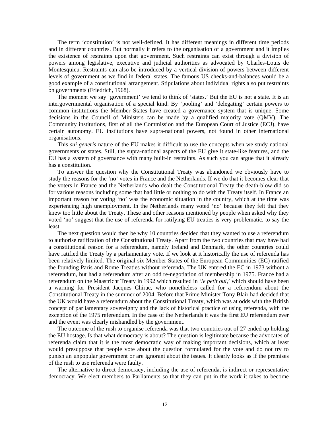The term 'constitution' is not well-defined. It has different meanings in different time periods and in different countries. But normally it refers to the organisation of a government and it implies the existence of restraints upon that government. Such restraints can exist through a division of powers among legislative, executive and judicial authorities as advocated by Charles-Louis de Montesquieu. Restraints can also be introduced by a vertical division of powers between different levels of government as we find in federal states. The famous US checks-and-balances would be a good example of a constitutional arrangement. Stipulations about individual rights also put restraints on governments (Friedrich, 1968).

 The moment we say 'government' we tend to think of 'states.' But the EU is not a state. It is an intergovernmental organisation of a special kind. By 'pooling' and 'delegating' certain powers to common institutions the Member States have created a governance system that is unique. Some decisions in the Council of Ministers can be made by a qualified majority vote (QMV). The Community institutions, first of all the Commission and the European Court of Justice (ECJ), have certain autonomy. EU institutions have supra-national powers, not found in other international organisations.

 This *sui generis* nature of the EU makes it difficult to use the concepts when we study national governments or states. Still, the supra-national aspects of the EU give it state-like features, and the EU has a system of governance with many built-in restraints. As such you can argue that it already has a constitution.

 To answer the question why the Constitutional Treaty was abandoned we obviously have to study the reasons for the 'no' votes in France and the Netherlands. If we do that it becomes clear that the voters in France and the Netherlands who dealt the Constitutional Treaty the death-blow did so for various reasons including some that had little or nothing to do with the Treaty itself. In France an important reason for voting 'no' was the economic situation in the country, which at the time was experiencing high unemployment. In the Netherlands many voted 'no' because they felt that they knew too little about the Treaty. These and other reasons mentioned by people when asked why they voted 'no' suggest that the use of referenda for ratifying EU treaties is very problematic, to say the least.

 The next question would then be why 10 countries decided that they wanted to use a referendum to authorise ratification of the Constitutional Treaty. Apart from the two countries that may have had a constitutional reason for a referendum, namely Ireland and Denmark, the other countries could have ratified the Treaty by a parliamentary vote. If we look at it historically the use of referenda has been relatively limited. The original six Member States of the European Communities (EC) ratified the founding Paris and Rome Treaties without referenda. The UK entered the EC in 1973 without a referendum, but had a referendum after an odd re-negotiation of membership in 1975. France had a referendum on the Maastricht Treaty in 1992 which resulted in '*le petit oui*,' which should have been a warning for President Jacques Chirac, who nonetheless called for a referendum about the Constitutional Treaty in the summer of 2004. Before that Prime Minister Tony Blair had decided that the UK would have a referendum about the Constitutional Treaty, which was at odds with the British concept of parliamentary sovereignty and the lack of historical practice of using referenda, with the exception of the 1975 referendum. In the case of the Netherlands it was the first EU referendum ever and the event was clearly mishandled by the government.

 The outcome of the rush to organise referenda was that two countries out of 27 ended up holding the EU hostage. Is that what democracy is about? The question is legitimate because the advocates of referenda claim that it is the most democratic way of making important decisions, which at least would presuppose that people vote about the question formulated for the vote and do not try to punish an unpopular government or are ignorant about the issues. It clearly looks as if the premises of the rush to use referenda were faulty.

 The alternative to direct democracy, including the use of referenda, is indirect or representative democracy. We elect members to Parliaments so that they can put in the work it takes to become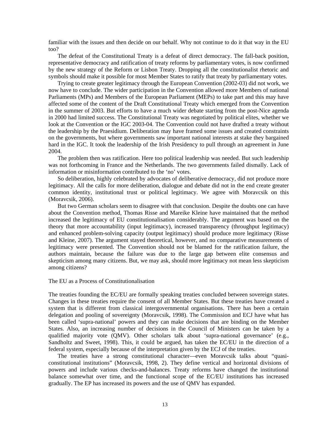familiar with the issues and then decide on our behalf. Why not continue to do it that way in the EU too?

 The defeat of the Constitutional Treaty is a defeat of direct democracy. The fall-back position, representative democracy and ratification of treaty reforms by parliamentary votes, is now confirmed by the new strategy of the Reform or Lisbon Treaty. Dropping all the constitutionalist rhetoric and symbols should make it possible for most Member States to ratify that treaty by parliamentary votes.

 Trying to create greater legitimacy through the European Convention (2002-03) did not work, we now have to conclude. The wider participation in the Convention allowed more Members of national Parliaments (MPs) and Members of the European Parliament (MEPs) to take part and this may have affected some of the content of the Draft Constitutional Treaty which emerged from the Convention in the summer of 2003. But efforts to have a much wider debate starting from the post-Nice agenda in 2000 had limited success. The Constitutional Treaty was negotiated by political elites, whether we look at the Convention or the IGC 2003-04. The Convention could not have drafted a treaty without the leadership by the Praesidium. Deliberation may have framed some issues and created constraints on the governments, but where governments saw important national interests at stake they bargained hard in the IGC. It took the leadership of the Irish Presidency to pull through an agreement in June 2004.

 The problem then was ratification. Here too political leadership was needed. But such leadership was not forthcoming in France and the Netherlands. The two governments failed dismally. Lack of information or misinformation contributed to the 'no' votes.

 So deliberation, highly celebrated by advocates of deliberative democracy, did not produce more legitimacy. All the calls for more deliberation, dialogue and debate did not in the end create greater common identity, institutional trust or political legitimacy. We agree with Moravcsik on this (Moravcsik, 2006).

 But two German scholars seem to disagree with that conclusion. Despite the doubts one can have about the Convention method, Thomas Risse and Mareike Kleine have maintained that the method increased the legitimacy of EU constitutionalisation considerably. The argument was based on the theory that more accountability (input legitimacy), increased transparency (throughput legitimacy) and enhanced problem-solving capacity (output legitimacy) should produce more legitimacy (Risse and Kleine, 2007). The argument stayed theoretical, however, and no comparative measurements of legitimacy were presented. The Convention should not be blamed for the ratification failure, the authors maintain, because the failure was due to the large gap between elite consensus and skepticism among many citizens. But, we may ask, should more legitimacy not mean less skepticism among citizens?

The EU as a Process of Constitutionalisation

The treaties founding the EC/EU are formally speaking treaties concluded between sovereign states. Changes in these treaties require the consent of all Member States. But these treaties have created a system that is different from classical intergovernmental organisations. There has been a certain delegation and pooling of sovereignty (Moravcsik, 1998). The Commission and ECJ have what has been called 'supra-national' powers and they can make decisions that are binding on the Member States. Also, an increasing number of decisions in the Council of Ministers can be taken by a qualified majority vote (QMV). Other scholars talk about 'supra-national governance' (e.g., Sandholtz and Sweet, 1998). This, it could be argued, has taken the EC/EU in the direction of a federal system, especially because of the interpretation given by the ECJ of the treaties.

 The treaties have a strong constitutional character—even Moravcsik talks about "quasiconstitutional institutions" (Moravcsik, 1998, 2). They define vertical and horizontal divisions of powers and include various checks-and-balances. Treaty reforms have changed the institutional balance somewhat over time, and the functional scope of the EC/EU institutions has increased gradually. The EP has increased its powers and the use of QMV has expanded.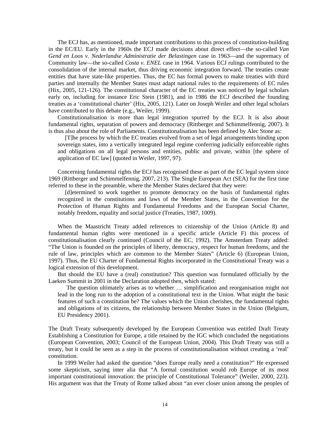The ECJ has, as mentioned, made important contributions to this process of constitution-building in the EC/EU. Early in the 1960s the ECJ made decisions about direct effect—the so-called *Van Gend en Loos v. Nederlandse Administratie der Belastingen* case in 1963—and the supremacy of Community law—the so-called *Costa v. ENEL* case in 1964. Various ECJ rulings contributed to the consolidation of the internal market, thus driving economic integration forward. The treaties create entities that have state-like properties. Thus, the EC has formal powers to make treaties with third parties and internally the Member States must adapt national rules to the requirements of EC rules (Hix, 2005, 121-126). The constitutional character of the EC treaties was noticed by legal scholars early on, including for instance Eric Stein (1981), and in 1986 the ECJ described the founding treaties as a 'constitutional charter' (Hix, 2005, 121). Later on Joseph Weiler and other legal scholars have contributed to this debate (e.g., Weiler, 1999).

 Constitutionalisation is more than legal integration spurred by the ECJ. It is also about fundamental rights, separation of powers and democracy (Rittberger and Schimmelfennig, 2007). It is thus also about the role of Parliaments. Constitutionalisation has been defined by Alec Stone as:

 [T]he process by which the EC treaties evolved from a set of legal arrangements binding upon sovereign states, into a vertically integrated legal regime conferring judicially enforceable rights and obligations on all legal persons and entities, public and private, within [the sphere of application of EC law] (quoted in Weiler, 1997, 97).

 Concerning fundamental rights the ECJ has recognised these as part of the EC legal system since 1969 (Rittberger and Schimmelfennig, 2007, 213). The Single European Act (SEA) for the first time referred to these in the preamble, where the Member States declared that they were:

 [d]etermined to work together to promote democracy on the basis of fundamental rights recognized in the constitutions and laws of the Member States, in the Convention for the Protection of Human Rights and Fundamental Freedoms and the European Social Charter, notably freedom, equality and social justice (Treaties, 1987, 1009).

 When the Maastricht Treaty added references to citizenship of the Union (Article 8) and fundamental human rights were mentioned in a specific article (Article F) this process of constitutionalisation clearly continued (Council of the EC, 1992). The Amsterdam Treaty added: "The Union is founded on the principles of liberty, democracy, respect for human freedoms, and the rule of law, principles which are common to the Member States" (Article 6) (European Union, 1997). Thus, the EU Charter of Fundamental Rights incorporated in the Constitutional Treaty was a logical extension of this development.

 But should the EU have a (real) constitution? This question was formulated officially by the Laeken Summit in 2001 in the Declaration adopted then, which stated:

 The question ultimately arises as to whether … simplification and reorganisation might not lead in the long run to the adoption of a constitutional text in the Union. What might the basic features of such a constitution be? The values which the Union cherishes, the fundamental rights and obligations of its citizens, the relationship between Member States in the Union (Belgium, EU Presidency 2001).

The Draft Treaty subsequently developed by the European Convention was entitled Draft Treaty Establishing a Constitution for Europe, a title retained by the IGC which concluded the negotiations (European Convention, 2003; Council of the European Union, 2004). This Draft Treaty was still a treaty, but it could be seen as a step in the process of constitutionalisation without creating a 'real' constitution.

 In 1999 Weiler had asked the question "does Europe really need a constitution?" He expressed some skepticism, saying inter alia that "A formal constitution would rob Europe of its most important constitutional innovation: the principle of Constitutional Tolerance" (Weiler, 2000, 223). His argument was that the Treaty of Rome talked about "an ever closer union among the peoples of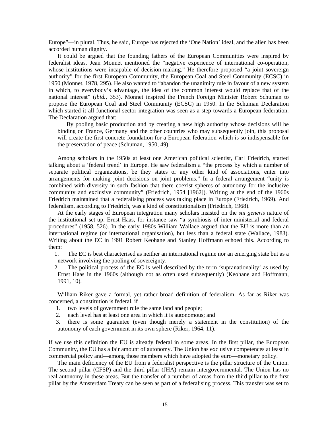Europe"—in plural. Thus, he said, Europe has rejected the 'One Nation' ideal, and the alien has been accorded human dignity.

 It could be argued that the founding fathers of the European Communities were inspired by federalist ideas. Jean Monnet mentioned the "negative experience of international co-operation, whose institutions were incapable of decision-making." He therefore proposed "a joint sovereign authority" for the first European Community, the European Coal and Steel Community (ECSC) in 1950 (Monnet, 1978, 295). He also wanted to "abandon the unanimity rule in favour of a new system in which, to everybody's advantage, the idea of the common interest would replace that of the national interest" (*ibid.*, 353). Monnet inspired the French Foreign Minister Robert Schuman to propose the European Coal and Steel Community (ECSC) in 1950. In the Schuman Declaration which started it all functional sector integration was seen as a step towards a European federation. The Declaration argued that:

 By pooling basic production and by creating a new high authority whose decisions will be binding on France, Germany and the other countries who may subsequently join, this proposal will create the first concrete foundation for a European federation which is so indispensable for the preservation of peace (Schuman, 1950, 49).

 Among scholars in the 1950s at least one American political scientist, Carl Friedrich, started talking about a 'federal trend' in Europe. He saw federalism a "the process by which a number of separate political organizations, be they states or any other kind of associations, enter into arrangements for making joint decisions on joint problems." In a federal arrangement "unity is combined with diversity in such fashion that there coexist spheres of autonomy for the inclusive community and exclusive community" (Friedrich, 1954 [1962]). Writing at the end of the 1960s Friedrich maintained that a federalising process was taking place in Europe (Friedrich, 1969). And federalism, according to Friedrich, was a kind of constitutionalism (Friedrich, 1968).

 At the early stages of European integration many scholars insisted on the *sui generis* nature of the institutional set-up. Ernst Haas, for instance saw "a symbiosis of inter-ministerial and federal procedures" (1958, 526). In the early 1980s William Wallace argued that the EU is more than an international regime (or international organisation), but less than a federal state (Wallace, 1983). Writing about the EC in 1991 Robert Keohane and Stanley Hoffmann echoed this. According to them:

- 1. The EC is best characterised as neither an international regime nor an emerging state but as a network involving the pooling of sovereignty.
- 2. The political process of the EC is well described by the term 'supranationality' as used by Ernst Haas in the 1960s (although not as often used subsequently) (Keohane and Hoffmann, 1991, 10).

 William Riker gave a formal, yet rather broad definition of federalism. As far as Riker was concerned, a constitution is federal, if

- 1. two levels of government rule the same land and people;
- 2. each level has at least one area in which it is autonomous; and

 3. there is some guarantee (even though merely a statement in the constitution) of the autonomy of each government in its own sphere (Riker, 1964, 11).

If we use this definition the EU is already federal in some areas. In the first pillar, the European Community, the EU has a fair amount of autonomy. The Union has exclusive competences at least in commercial policy and—among those members which have adopted the euro—monetary policy.

 The main deficiency of the EU from a federalist perspective is the pillar structure of the Union. The second pillar (CFSP) and the third pillar (JHA) remain intergovernmental. The Union has no real autonomy in these areas. But the transfer of a number of areas from the third pillar to the first pillar by the Amsterdam Treaty can be seen as part of a federalising process. This transfer was set to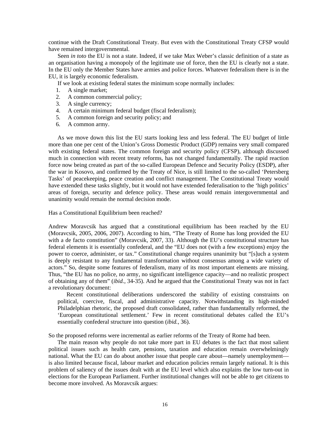continue with the Draft Constitutional Treaty. But even with the Constitutional Treaty CFSP would have remained intergovernmental.

Seen *in toto* the EU is not a state. Indeed, if we take Max Weber's classic definition of a state as an organisation having a monopoly of the legitimate use of force, then the EU is clearly not a state. In the EU only the Member States have armies and police forces. Whatever federalism there is in the EU, it is largely economic federalism.

If we look at existing federal states the minimum scope normally includes:

- 1. A single market;
- 2. A common commercial policy;
- 3. A single currency;
- 4. A certain minimum federal budget (fiscal federalism);
- 5. A common foreign and security policy; and
- 6. A common army.

 As we move down this list the EU starts looking less and less federal. The EU budget of little more than one per cent of the Union's Gross Domestic Product (GDP) remains very small compared with existing federal states. The common foreign and security policy (CFSP), although discussed much in connection with recent treaty reforms, has not changed fundamentally. The rapid reaction force now being created as part of the so-called European Defence and Security Policy (ESDP), after the war in Kosovo, and confirmed by the Treaty of Nice, is still limited to the so-called 'Petersberg Tasks' of peacekeeping, peace creation and conflict management. The Constitutional Treaty would have extended these tasks slightly, but it would not have extended federalisation to the 'high politics' areas of foreign, security and defence policy. These areas would remain intergovernmental and unanimity would remain the normal decision mode.

Has a Constitutional Equilibrium been reached?

Andrew Moravcsik has argued that a constitutional equilibrium has been reached by the EU (Moravcsik, 2005, 2006, 2007). According to him, "The Treaty of Rome has long provided the EU with a de facto constitution" (Moravcsik, 2007, 33). Although the EU's constitutional structure has federal elements it is essentially confederal, and the "EU does not (with a few exceptions) enjoy the power to coerce, administer, or tax." Constitutional change requires unanimity but "[s]uch a system is deeply resistant to any fundamental transformation without consensus among a wide variety of actors." So, despite some features of federalism, many of its most important elements are missing. Thus, "the EU has no police, no army, no significant intelligence capacity—and no realistic prospect of obtaining any of them" (*ibid.*, 34-35). And he argued that the Constitutional Treaty was not in fact a revolutionary document:

 Recent constitutional deliberations underscored the stability of existing constraints on political, coercive, fiscal, and administrative capacity. Notwithstanding its high-minded Philadelphian rhetoric, the proposed draft consolidated, rather than fundamentally reformed, the 'European constitutional settlement.' Few in recent constitutional debates called the EU's essentially confederal structure into question (*ibid.*, 36).

So the proposed reforms were incremental as earlier reforms of the Treaty of Rome had been.

 The main reason why people do not take more part in EU debates is the fact that most salient political issues such as health care, pensions, taxation and education remain overwhelmingly national. What the EU can do about another issue that people care about—namely unemployment is also limited because fiscal, labour market and education policies remain largely national. It is this problem of saliency of the issues dealt with at the EU level which also explains the low turn-out in elections for the European Parliament. Further institutional changes will not be able to get citizens to become more involved. As Moravcsik argues: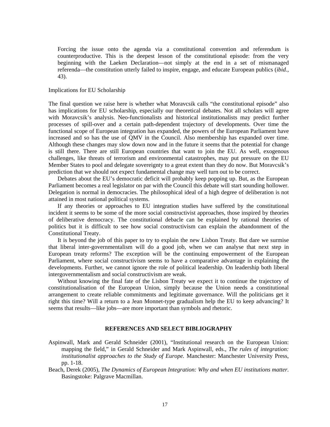Forcing the issue onto the agenda via a constitutional convention and referendum is counterproductive. This is the deepest lesson of the constitutional episode: from the very beginning with the Laeken Declaration—not simply at the end in a set of mismanaged referenda—the constitution utterly failed to inspire, engage, and educate European publics (*ibid.*, 43).

#### Implications for EU Scholarship

The final question we raise here is whether what Moravcsik calls "the constitutional episode" also has implications for EU scholarship, especially our theoretical debates. Not all scholars will agree with Moravcsik's analysis. Neo-functionalists and historical institutionalists may predict further processes of spill-over and a certain path-dependent trajectory of developments. Over time the functional scope of European integration has expanded, the powers of the European Parliament have increased and so has the use of QMV in the Council. Also membership has expanded over time. Although these changes may slow down now and in the future it seems that the potential for change is still there. There are still European countries that want to join the EU. As well, exogenous challenges, like threats of terrorism and environmental catastrophes, may put pressure on the EU Member States to pool and delegate sovereignty to a great extent than they do now. But Moravcsik's prediction that we should not expect fundamental change may well turn out to be correct.

 Debates about the EU's democratic deficit will probably keep popping up. But, as the European Parliament becomes a real legislator on par with the Council this debate will start sounding hollower. Delegation is normal in democracies. The philosophical ideal of a high degree of deliberation is not attained in most national political systems.

 If any theories or approaches to EU integration studies have suffered by the constitutional incident it seems to be some of the more social constructivist approaches, those inspired by theories of deliberative democracy. The constitutional debacle can be explained by rational theories of politics but it is difficult to see how social constructivism can explain the abandonment of the Constitutional Treaty.

 It is beyond the job of this paper to try to explain the new Lisbon Treaty. But dare we surmise that liberal inter-governmentalism will do a good job, when we can analyse that next step in European treaty reforms? The exception will be the continuing empowerment of the European Parliament, where social constructivism seems to have a comparative advantage in explaining the developments. Further, we cannot ignore the role of political leadership. On leadership both liberal intergovernmentalism and social constructivism are weak.

 Without knowing the final fate of the Lisbon Treaty we expect it to continue the trajectory of constitutionalisation of the European Union, simply because the Union needs a constitutional arrangement to create reliable commitments and legitimate governance. Will the politicians get it right this time? Will a return to a Jean Monnet-type gradualism help the EU to keep advancing? It seems that results—like jobs—are more important than symbols and rhetoric.

### **REFERENCES AND SELECT BIBLIOGRAPHY**

- Aspinwall, Mark and Gerald Schneider (2001), "Institutional research on the European Union: mapping the field," in Gerald Schneider and Mark Aspinwall, eds., *The rules of integration: institutionalist approaches to the Study of Europe.* Manchester: Manchester University Press, pp. 1-18.
- Beach, Derek (2005), *The Dynamics of European Integration: Why and when EU institutions matter.*  Basingstoke: Palgrave Macmillan.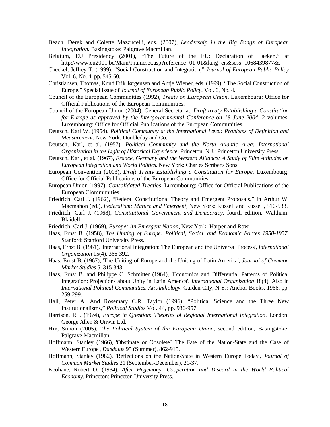- Beach, Derek and Colette Mazzucelli, eds. (2007), *Leadership in the Big Bangs of European Integration.* Basingstoke: Palgrave Macmillan.
- Belgium, EU Presidency (2001), "The Future of the EU: Declaration of Laeken," at http://www.eu2001.be/Main/Frameset.asp?reference=01-01&lang=en&sess=1068439877&.
- Checkel, Jeffrey T. (1999), "Social Construction and Integration," *Journal of European Public Policy* Vol. 6, No. 4, pp. 545-60.
- Christiansen, Thomas, Knud Erik Jørgensen and Antje Wiener, eds. (1999), "The Social Construction of Europe," Special Issue of *Journal of European Public Policy*, Vol. 6, No. 4.
- Council of the European Communities (1992), *Treaty on European Union*, Luxembourg: Office for Official Publications of the European Communities.
- Council of the European Union (2004), General Secretariat, *Draft treaty Establishing a Constitution for Europe as approved by the Intergovernmental Conference on 18 June 2004*, 2 volumes, Luxembourg: Office for Official Publications of the European Communities.
- Deutsch, Karl W. (1954), *Political Community at the International Level: Problems of Definition and Measurement.* New York: Doubleday and Co.
- Deutsch, Karl, et al. (1957), *Political Community and the North Atlantic Area: International Organization in the Light of Historical Experience*. Princeton, N.J.: Princeton University Press.
- Deutsch, Karl, et al. (1967), *France, Germany and the Western Alliance: A Study of Elite Attitudes on European Integration and World Politics*. New York: Charles Scriber's Sons.
- European Convention (2003), *Draft Treaty Establishing a Constitution for Europe*, Luxembourg: Office for Official Publications of the European Communities.
- European Union (1997), *Consolidated Treaties*, Luxembourg: Office for Official Publications of the European Ciommunities.
- Friedrich, Carl J. (1962), "Federal Constitutional Theory and Emergent Proposals," in Arthur W. Macmahon (ed.), *Federalism: Mature and Emergent*, New York: Russell and Russell, 510-533.
- Friedrich, Carl J. (1968), *Constitutional Government and Democracy*, fourth edition, Waltham: Blaidell.
- Friedrich, Carl J. (1969), *Europe: An Emergent Nation*, New York: Harper and Row.
- Haas, Ernst B. (1958), *The Uniting of Europe: Political, Social, and Economic Forces 1950-1957*. Stanford: Stanford University Press.
- Haas, Ernst B. (1961), 'International Integration: The European and the Universal Process', *International Organization* 15(4), 366-392.
- Haas, Ernst B. (1967), 'The Uniting of Europe and the Uniting of Latin America', *Journal of Common Market Studies* 5, 315-343.
- Haas, Ernst B. and Philippe C. Schmitter (1964), 'Economics and Differential Patterns of Political Integration: Projections about Unity in Latin America', *International Organization* 18(4). Also in *International Political Communities. An Anthology*. Garden City, N.Y.: Anchor Books, 1966, pp. 259-299.
- Hall, Peter A. And Rosemary C.R. Taylor (1996), "Political Science and the Three New Institutionalisms," *Political Studies* Vol. 44, pp. 936-957.
- Harrison, R.J. (1974), *Europe in Question: Theories of Regional International Integration*. London: George Allen & Unwin Ltd.
- Hix, Simon (2005), *The Political System of the European Union*, second edition, Basingstoke: Palgrave Macmillan.
- Hoffmann, Stanley (1966), 'Obstinate or Obsolete? The Fate of the Nation-State and the Case of Western Europe', *Daedalu*s 95 (Summer), 862-915.
- Hoffmann, Stanley (1982), 'Reflections on the Nation-State in Western Europe Today', *Journal of Common Market Studies* 21 (September-December), 21-37.
- Keohane, Robert O. (1984), *After Hegemony: Cooperation and Discord in the World Political Economy*. Princeton: Princeton University Press.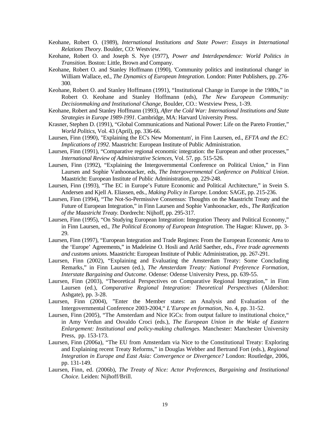- Keohane, Robert O. (1989), *International Institutions and State Power: Essays in International Relations Theory*. Boulder, CO: Westview.
- Keohane, Robert O. and Joseph S. Nye (1977), *Power and Interdependence: World Politics in Transition.* Boston: Little, Brown and Company.
- Keohane, Robert O. and Stanley Hoffmann (1990), 'Community politics and institutional change' in William Wallace, ed., *The Dynamics of European Integration*. London: Pinter Publishers, pp. 276- 300.
- Keohane, Robert O. and Stanley Hoffmann (1991), "Institutional Change in Europe in the 1980s," in Robert O. Keohane and Stanley Hoffmann (eds), *The New European Community: Decisionmaking and Institutional Change*, Boulder, CO.: Westview Press, 1-39.
- Keohane, Robert and Stanley Hoffmann (1993), *After the Cold War: International Institutions and State Strategies in Europe 1989-1991*. Cambridge, MA: Harvard University Press.
- Krasner, Stephen D. (1991), "Global Communications and National Power: Life on the Pareto Frontier," *World Politics*, Vol. 43 (April), pp. 336-66.
- Laursen, Finn (1990), "Explaining the EC's New Momentum', in Finn Laursen, ed., *EFTA and the EC: Implications of 1992*. Maastricht: European Institute of Public Administration.
- Laursen, Finn (1991), "Comparative regional economic integration: the European and other processes," *International Review of Administrative Sciences*, Vol. 57, pp. 515-526.
- Laursen, Finn (1992), "Explaining the Intergovernmental Conference on Political Union," in Finn Laursen and Sophie Vanhoonacker, eds, *The Intergovernmental Conference on Political Union*. Maastricht: European Institute of Public Administration, pp. 229-248.
- Laursen, Finn (1993), "The EC in Europe's Future Economic and Political Architecture," in Svein S. Andersen and Kjell A. Eliassen, eds., *Making Policy in Europe*. London: SAGE, pp. 215-236.
- Laursen, Finn (1994), "The Not-So-Permissive Consensus: Thoughts on the Maastricht Treaty and the Future of European Integration," in Finn Laursen and Sophie Vanhoonacker, eds., *The Ratification of the Maastricht Treaty.* Dordrecht: Nijhoff, pp. 295-317.
- Laursen, Finn (1995), "On Studying European Integration: Integration Theory and Political Economy," in Finn Laursen, ed., *The Political Economy of European Integration*. The Hague: Kluwer, pp. 3- 29.
- Laursen, Finn (1997), "European Integration and Trade Regimes: From the European Economic Area to the 'Europe' Agreements," in Madeleine O. Hosli and Arild Saether, eds., *Free trade agreements and customs unions*. Maastricht: European Institute of Public Administration, pp. 267-291.
- Laursen, Finn (2002), "Explaining and Evaluating the Amsterdam Treaty: Some Concluding Remarks," in Finn Laursen (ed.), *The Amsterdam Treaty: National Preference Formation, Interstate Bargaining and Outcome.* Odense: Odense University Press, pp. 639-55.
- Laursen, Finn (2003), "Theoretical Perspectives on Comparative Regional Integration," in Finn Laursen (ed.), *Comparative Regional Integration: Theoretical Perspectives* (Aldershot: Ashgate), pp. 3-28.
- Laursen, Finn (2004), "Enter the Member states: an Analysis and Evaluation of the Intergovernmental Conference 2003-2004," *L'Europe en formation*, No. 4, pp. 31-52.
- Laursen, Finn (2005), "The Amsterdam and Nice IGCs: from output failure to institutional choice," in Amy Verdun and Osvaldo Croci (eds.), *The European Union in the Wake of Eastern Enlargement: Institutional and policy-making challenges.* Manchester: Manchester University Press, pp. 153-173.
- Laursen, Finn (2006a), "The EU from Amsterdam via Nice to the Constitutional Treaty: Exploring and Explaining recent Treaty Reforms," in Douglas Webber and Bertrand Fort (eds.), *Regional Integration in Europe and East Asia: Convergence or Divergence?* London: Routledge, 2006, pp. 131-149.
- Laursen, Finn, ed. (2006b), *The Treaty of Nice: Actor Preferences, Bargaining and Institutional Choice.* Leiden: Nijhoff/Brill.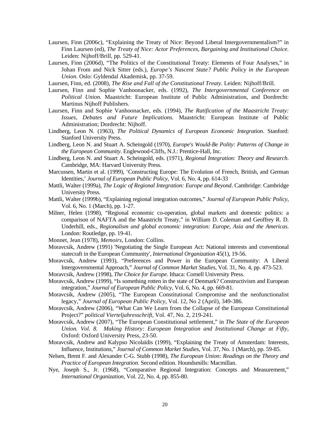- Laursen, Finn (2006c), "Explaining the Treaty of Nice: Beyond Liberal Intergovernmentalism?" in Finn Laursen (ed), *The Treaty of Nice: Actor Preferences, Bargaining and Institutional Choice.*  Leiden: Nijhoff/Brill, pp. 529-41.
- Laursen, Finn (2006d), "The Politics of the Constitutional Treaty: Elements of Four Analyses," in Johan From and Nick Sitter (eds.), *Europe's Nascent State? Public Policy in the European Union.* Oslo: Gyldendal Akademisk, pp. 37-59.

Laursen, Finn, ed. (2008), *The Rise and Fall of the Constitutional Treaty.* Leiden: Nijhoff/Brill.

- Laursen, Finn and Sophie Vanhoonacker, eds. (1992), *The Intergovernmental Conference on Political Union*. Maastricht: European Institute of Public Administration, and Dordrecht: Martinus Nijhoff Publishers.
- Laursen, Finn and Sophie Vanhoonacker, eds. (1994), *The Ratification of the Maastricht Treaty: Issues, Debates and Future Implications.* Maastricht: European Institute of Public Administration; Dordrecht: Nijhoff.
- Lindberg, Leon N. (1963), *The Political Dynamics of European Economic Integration*. Stanford: Stanford University Press.
- Lindberg, Leon N. and Stuart A. Scheingold (1970), *Europe's Would-Be Polity: Patterns of Change in the European Community.* Englewood-Cliffs, N.J.: Prentice-Hall, Inc.
- Lindberg, Leon N. and Stuart A. Scheingold, eds. (1971), *Regional Integration: Theory and Research*. Cambridge, MA: Harvard University Press.
- Marcussen, Martin et al. (1999), 'Constructing Europe: The Evolution of French, British, and German Identities,' *Journal of European Public Policy*, Vol. 6, No. 4, pp. 614-33
- Mattli, Walter (1999a), *The Logic of Regional Integration: Europe and Beyond*. Cambridge: Cambridge University Press.
- Mattli, Walter (1999b), "Explaining regional integration outcomes," *Journal of European Public Policy*, Vol. 6, No. 1 (March), pp. 1-27.
- Milner, Helen (1998), "Regional economic co-operation, global markets and domestic politics: a comparison of NAFTA and the Maastricht Treaty," in William D. Coleman and Geoffrey R. D. Underhill, eds., *Regionalism and global economic integration: Europe, Asia and the Americas*. London: Routledge, pp. 19-41.
- Monnet, Jean (1978), *Memoirs*, London: Collins.
- Moravcsik, Andrew (1991) 'Negotiating the Single European Act: National interests and conventional statecraft in the European Community', *International Organization* 45(1), 19-56.
- Moravcsik, Andrew (1993), "Preferences and Power in the European Community: A Liberal Intergovernmental Approach," *Journal of Common Market Studies*, Vol. 31, No. 4, pp. 473-523.
- Moravcsik, Andrew (1998), *The Choice for Europe*. Ithaca: Cornell University Press.
- Moravcsik, Andrew (1999), "Is something rotten in the state of Denmark? Constructivism and European integration," *Journal of European Public Policy*, Vol. 6, No. 4, pp. 669-81.
- Moravcsik, Andrew (2005), "The European Constitutional Compromise and the neofunctionalist legacy," *Journal of European Public Policy*, Vol. 12, No 2 (April), 349-386.
- Moravcsik, Andrew (2006), "What Can We Learn from the Collapse of the European Constitutional Project?" *political Vierteljahresschrift*, Vol. 47, No. 2, 219-241.
- Moravcsik, Andrew (2007), "The European Constitutional settlement," in *The State of the European Union. Vol. 8. Making History: European Integration and Institutional Change at Fifty*, Oxford: Oxford University Press, 23-50.
- Moravcsik, Andrew and Kalypso Nicolaïdis (1999), "Explaining the Treaty of Amsterdam: Interests, Influence, Institutions," *Journal of Common Market Studies*, Vol. 37, No. 1 (March), pp. 59-85.
- Nelsen, Brent F. and Alexander C-G. Stubb (1998), *The European Union: Readings on the Theory and Practice of European Integration*. Second edition. Houndsmills: Macmillan.
- Nye, Joseph S., Jr. (1968), "Comparative Regional Integration: Concepts and Measurement," *International Organization*, Vol. 22, No. 4, pp. 855-80.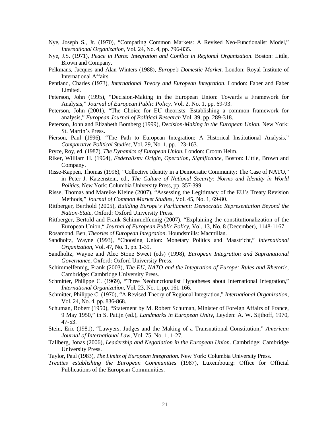- Nye, Joseph S., Jr. (1970), "Comparing Common Markets: A Revised Neo-Functionalist Model," *International Organization*, Vol. 24, No. 4, pp. 796-835.
- Nye, J.S. (1971), *Peace in Parts: Integration and Conflict in Regional Organization*. Boston: Little, Brown and Company.
- Pelkmans, Jacques and Alan Winters (1988), *Europe's Domestic Market*. London: Royal Institute of International Affairs.
- Pentland, Charles (1973), *International Theory and European Integration*. London: Faber and Faber Limited.
- Peterson, John (1995), "Decision-Making in the European Union: Towards a Framework for Analysis," *Journal of European Public Policy.* Vol. 2, No. 1, pp. 69-93.
- Peterson, John (2001), "The Choice for EU theorists: Establishing a common framework for analysis," *European Journal of Political Research* Vol. 39, pp. 289-318.
- Peterson, John and Elizabeth Bomberg (1999), *Decision-Making in the European Union*. New York: St. Martin's Press.
- Pierson, Paul (1996), "The Path to European Integration: A Historical Institutional Analysis," *Comparative Political Studies*, Vol. 29, No. 1, pp. 123-163.

Pryce, Roy, ed. (1987), *The Dynamics of European Union*. London: Croom Helm.

- Riker, William H. (1964), *Federalism: Origin, Operation, Significance*, Boston: Little, Brown and Company.
- Risse-Kappen, Thomas (1996), "Collective Identity in a Democratic Community: The Case of NATO," in Peter J. Katzenstein, ed., *The Culture of National Security: Norms and Identity in World Politics*. New York: Columbia University Press, pp. 357-399.
- Risse, Thomas and Mareike Kleine (2007), "Assessing the Legitimacy of the EU's Treaty Revision Methods," *Journal of Common Market Studies*, Vol. 45, No. 1, 69-80.
- Rittberger, Berthold (2005), *Building Europe's Parliament: Democratic Representation Beyond the Nation-State*, Oxford: Oxford University Press.
- Rittberger, Bertold and Frank Schimmelfennig (2007), "Explaining the constitutionalization of the European Union," *Journal of European Public Policy*, Vol. 13, No. 8 (December), 1148-1167.
- Rosamond, Ben, *Theories of European Integration*. Houndsmills: Macmillan.
- Sandholtz, Wayne (1993), "Choosing Union: Monetary Politics and Maastricht," *International Organization*, Vol. 47, No. 1, pp. 1-39.
- Sandholtz, Wayne and Alec Stone Sweet (eds) (1998), *European Integration and Supranational Governance*, Oxford: Oxford University Press.
- Schimmelfennig, Frank (2003), *The EU, NATO and the Integration of Europe: Rules and Rhetoric*, Cambridge: Cambridge University Press.
- Schmitter, Philippe C. (1969), "Three Neofunctionalist Hypotheses about International Integration," *International Organization*, Vol. 23, No. 1, pp. 161-166.
- Schmitter, Philippe C. (1970), "A Revised Theory of Regional Integration," *International Organization*, Vol. 24, No. 4, pp. 836-868.
- Schuman, Robert (1950), "Statement by M. Robert Schuman, Minister of Foreign Affairs of France, 9 May 1950," in S. Patijn (ed.), *Landmarks in European Unity*, Leyden: A. W. Sijthoff, 1970, 47-53.
- Stein, Eric (1981), "Lawyers, Judges and the Making of a Transnational Constitution," *American Journal of International Law*, Vol. 75, No. 1, 1-27.
- Tallberg, Jonas (2006), *Leadership and Negotiation in the European Union.* Cambridge: Cambridge University Press.
- Taylor, Paul (1983), *The Limits of European Integration*. New York: Columbia University Press.
- *Treaties establishing the European Communities* (1987), Luxembourg: Office for Official Publications of the European Communities.